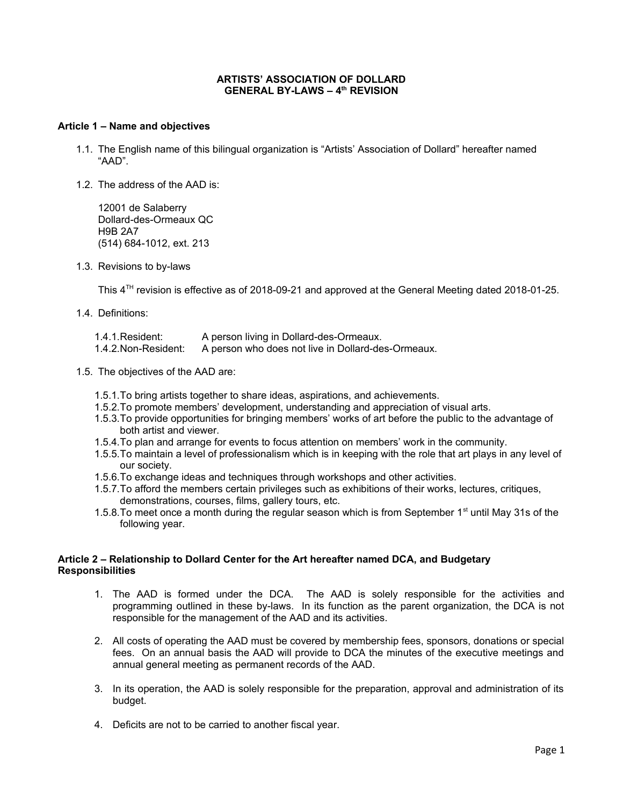### **ARTISTS' ASSOCIATION OF DOLLARD GENERAL BY-LAWS – 4th REVISION**

#### **Article 1 – Name and objectives**

- 1.1. The English name of this bilingual organization is "Artists' Association of Dollard" hereafter named "AAD".
- 1.2. The address of the AAD is:

12001 de Salaberry Dollard-des-Ormeaux QC H9B 2A7 (514) 684-1012, ext. 213

1.3. Revisions to by-laws

This 4<sup>TH</sup> revision is effective as of 2018-09-21 and approved at the General Meeting dated 2018-01-25.

- 1.4. Definitions:
	- 1.4.1.Resident: A person living in Dollard-des-Ormeaux.
	- 1.4.2.Non-Resident: A person who does not live in Dollard-des-Ormeaux.
- 1.5. The objectives of the AAD are:
	- 1.5.1.To bring artists together to share ideas, aspirations, and achievements.
	- 1.5.2.To promote members' development, understanding and appreciation of visual arts.
	- 1.5.3.To provide opportunities for bringing members' works of art before the public to the advantage of both artist and viewer.
	- 1.5.4.To plan and arrange for events to focus attention on members' work in the community.
	- 1.5.5.To maintain a level of professionalism which is in keeping with the role that art plays in any level of our society.
	- 1.5.6.To exchange ideas and techniques through workshops and other activities.
	- 1.5.7.To afford the members certain privileges such as exhibitions of their works, lectures, critiques, demonstrations, courses, films, gallery tours, etc.
	- 1.5.8. To meet once a month during the regular season which is from September 1st until May 31s of the following year.

# **Article 2 – Relationship to Dollard Center for the Art hereafter named DCA, and Budgetary Responsibilities**

- 1. The AAD is formed under the DCA. The AAD is solely responsible for the activities and programming outlined in these by-laws. In its function as the parent organization, the DCA is not responsible for the management of the AAD and its activities.
- 2. All costs of operating the AAD must be covered by membership fees, sponsors, donations or special fees. On an annual basis the AAD will provide to DCA the minutes of the executive meetings and annual general meeting as permanent records of the AAD.
- 3. In its operation, the AAD is solely responsible for the preparation, approval and administration of its budget.
- 4. Deficits are not to be carried to another fiscal year.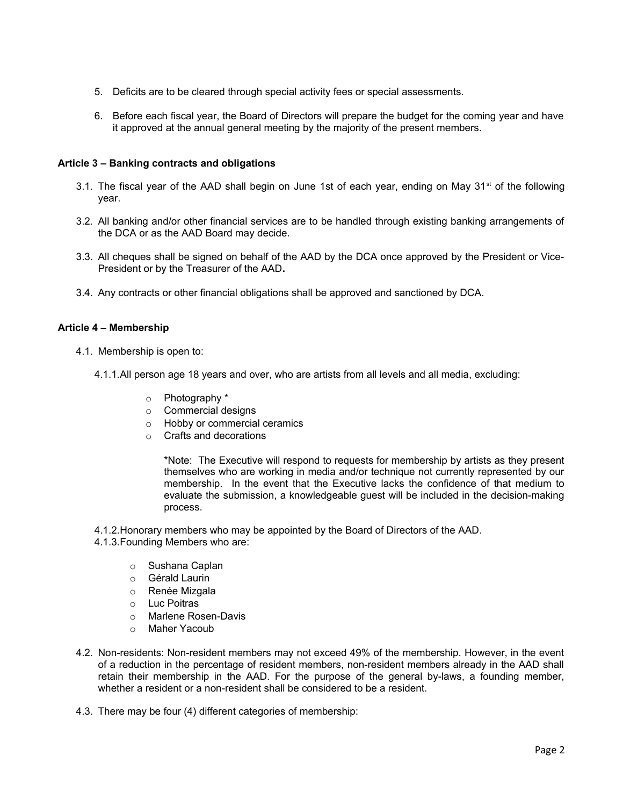- 5. Deficits are to be cleared through special activity fees or special assessments.
- 6. Before each fiscal year, the Board of Directors will prepare the budget for the coming year and have it approved at the annual general meeting by the majority of the present members.

## **Article 3 – Banking contracts and obligations**

- 3.1. The fiscal year of the AAD shall begin on June 1st of each year, ending on May  $31<sup>st</sup>$  of the following year.
- 3.2. All banking and/or other financial services are to be handled through existing banking arrangements of the DCA or as the AAD Board may decide.
- 3.3. All cheques shall be signed on behalf of the AAD by the DCA once approved by the President or Vice-President or by the Treasurer of the AAD**.**
- 3.4. Any contracts or other financial obligations shall be approved and sanctioned by DCA.

# **Article 4 – Membership**

- 4.1. Membership is open to:
	- 4.1.1.All person age 18 years and over, who are artists from all levels and all media, excluding:
		- o Photography \*
		- o Commercial designs
		- o Hobby or commercial ceramics
		- o Crafts and decorations

\*Note: The Executive will respond to requests for membership by artists as they present themselves who are working in media and/or technique not currently represented by our membership. In the event that the Executive lacks the confidence of that medium to evaluate the submission, a knowledgeable guest will be included in the decision-making process.

- 4.1.2.Honorary members who may be appointed by the Board of Directors of the AAD.
- 4.1.3.Founding Members who are:
	- o Sushana Caplan
	- o Gérald Laurin
	- o Renée Mizgala
	- o Luc Poitras
	- o Marlene Rosen-Davis
	- o Maher Yacoub
- 4.2. Non-residents: Non-resident members may not exceed 49% of the membership. However, in the event of a reduction in the percentage of resident members, non-resident members already in the AAD shall retain their membership in the AAD. For the purpose of the general by-laws, a founding member, whether a resident or a non-resident shall be considered to be a resident.
- 4.3. There may be four (4) different categories of membership: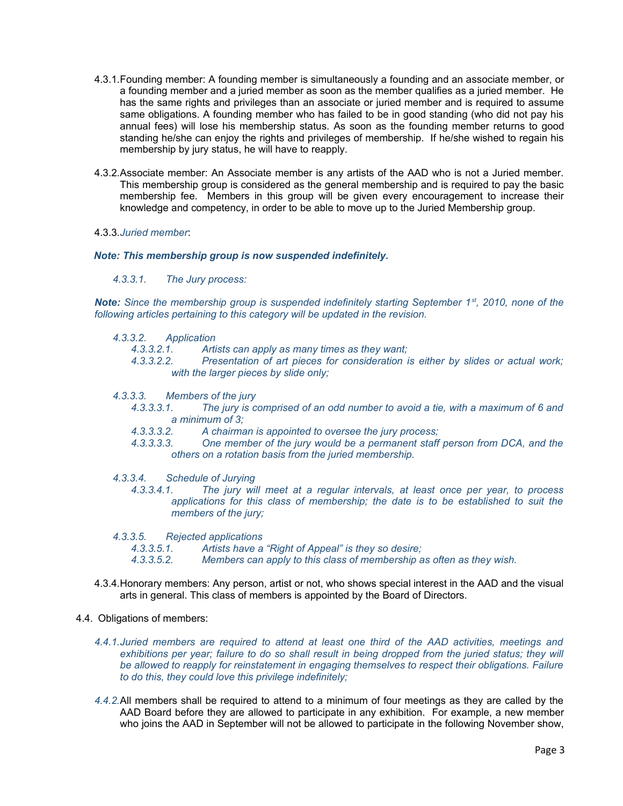- 4.3.1.Founding member: A founding member is simultaneously a founding and an associate member, or a founding member and a juried member as soon as the member qualifies as a juried member. He has the same rights and privileges than an associate or juried member and is required to assume same obligations. A founding member who has failed to be in good standing (who did not pay his annual fees) will lose his membership status. As soon as the founding member returns to good standing he/she can enjoy the rights and privileges of membership. If he/she wished to regain his membership by jury status, he will have to reapply.
- 4.3.2.Associate member: An Associate member is any artists of the AAD who is not a Juried member. This membership group is considered as the general membership and is required to pay the basic membership fee. Members in this group will be given every encouragement to increase their knowledge and competency, in order to be able to move up to the Juried Membership group.

### 4.3.3.*Juried member*:

#### *Note: This membership group is now suspended indefinitely.*

*4.3.3.1. The Jury process:*

*Note: Since the membership group is suspended indefinitely starting September 1st, 2010, none of the following articles pertaining to this category will be updated in the revision.*

- *4.3.3.2. Application*
	- *4.3.3.2.1. Artists can apply as many times as they want;*
	- *4.3.3.2.2. Presentation of art pieces for consideration is either by slides or actual work; with the larger pieces by slide only;*
- *4.3.3.3. Members of the jury*
	- *4.3.3.3.1. The jury is comprised of an odd number to avoid a tie, with a maximum of 6 and a minimum of 3;*
	- *4.3.3.3.2. A chairman is appointed to oversee the jury process;*
	- *4.3.3.3.3. One member of the jury would be a permanent staff person from DCA, and the others on a rotation basis from the juried membership.*
- *4.3.3.4. Schedule of Jurying*
	- *4.3.3.4.1. The jury will meet at a regular intervals, at least once per year, to process applications for this class of membership; the date is to be established to suit the members of the jury;*

*4.3.3.5. Rejected applications*

*4.3.3.5.1. Artists have a "Right of Appeal" is they so desire;*

*4.3.3.5.2. Members can apply to this class of membership as often as they wish.*

4.3.4.Honorary members: Any person, artist or not, who shows special interest in the AAD and the visual arts in general. This class of members is appointed by the Board of Directors.

### 4.4. Obligations of members:

- *4.4.1.Juried members are required to attend at least one third of the AAD activities, meetings and exhibitions per year; failure to do so shall result in being dropped from the juried status; they will be allowed to reapply for reinstatement in engaging themselves to respect their obligations. Failure to do this, they could love this privilege indefinitely;*
- *4.4.2.*All members shall be required to attend to a minimum of four meetings as they are called by the AAD Board before they are allowed to participate in any exhibition. For example, a new member who joins the AAD in September will not be allowed to participate in the following November show,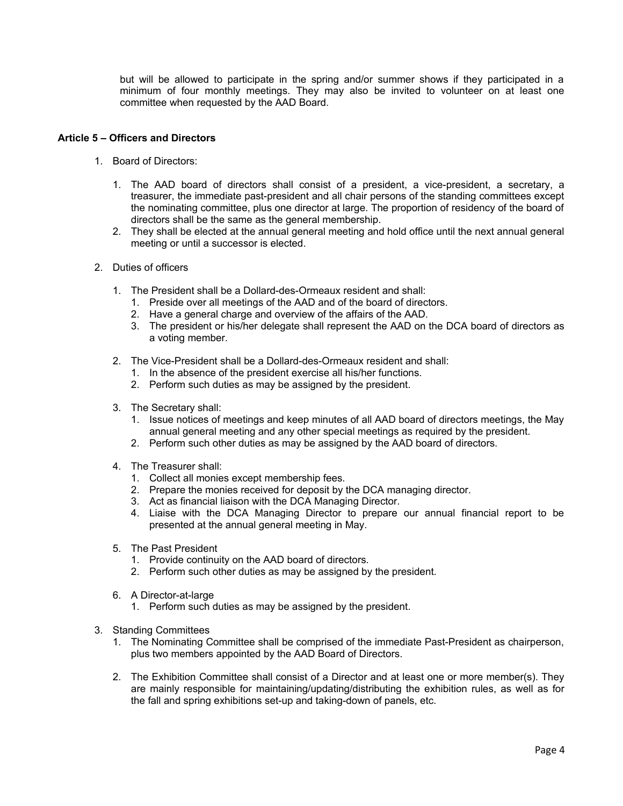but will be allowed to participate in the spring and/or summer shows if they participated in a minimum of four monthly meetings. They may also be invited to volunteer on at least one committee when requested by the AAD Board.

## **Article 5 – Officers and Directors**

- 1. Board of Directors:
	- 1. The AAD board of directors shall consist of a president, a vice-president, a secretary, a treasurer, the immediate past-president and all chair persons of the standing committees except the nominating committee, plus one director at large. The proportion of residency of the board of directors shall be the same as the general membership.
	- 2. They shall be elected at the annual general meeting and hold office until the next annual general meeting or until a successor is elected.
- 2. Duties of officers
	- 1. The President shall be a Dollard-des-Ormeaux resident and shall:
		- 1. Preside over all meetings of the AAD and of the board of directors.
		- 2. Have a general charge and overview of the affairs of the AAD.
		- 3. The president or his/her delegate shall represent the AAD on the DCA board of directors as a voting member.
	- 2. The Vice-President shall be a Dollard-des-Ormeaux resident and shall:
		- 1. In the absence of the president exercise all his/her functions.
		- 2. Perform such duties as may be assigned by the president.
	- 3. The Secretary shall:
		- 1. Issue notices of meetings and keep minutes of all AAD board of directors meetings, the May annual general meeting and any other special meetings as required by the president.
		- 2. Perform such other duties as may be assigned by the AAD board of directors.
	- 4. The Treasurer shall:
		- 1. Collect all monies except membership fees.
		- 2. Prepare the monies received for deposit by the DCA managing director.
		- 3. Act as financial liaison with the DCA Managing Director.
		- 4. Liaise with the DCA Managing Director to prepare our annual financial report to be presented at the annual general meeting in May.
	- 5. The Past President
		- 1. Provide continuity on the AAD board of directors.
		- 2. Perform such other duties as may be assigned by the president.
	- 6. A Director-at-large
		- 1. Perform such duties as may be assigned by the president.
- 3. Standing Committees
	- 1. The Nominating Committee shall be comprised of the immediate Past-President as chairperson, plus two members appointed by the AAD Board of Directors.
	- 2. The Exhibition Committee shall consist of a Director and at least one or more member(s). They are mainly responsible for maintaining/updating/distributing the exhibition rules, as well as for the fall and spring exhibitions set-up and taking-down of panels, etc.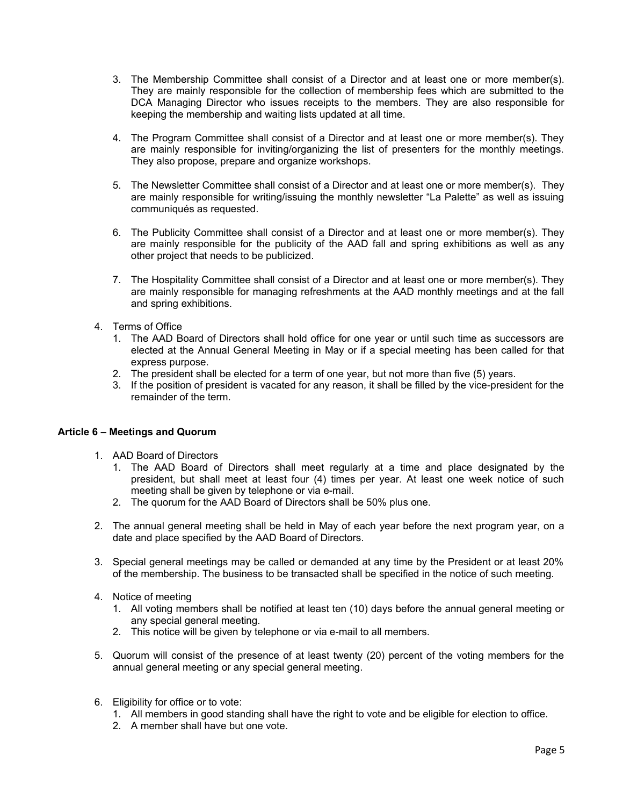- 3. The Membership Committee shall consist of a Director and at least one or more member(s). They are mainly responsible for the collection of membership fees which are submitted to the DCA Managing Director who issues receipts to the members. They are also responsible for keeping the membership and waiting lists updated at all time.
- 4. The Program Committee shall consist of a Director and at least one or more member(s). They are mainly responsible for inviting/organizing the list of presenters for the monthly meetings. They also propose, prepare and organize workshops.
- 5. The Newsletter Committee shall consist of a Director and at least one or more member(s). They are mainly responsible for writing/issuing the monthly newsletter "La Palette" as well as issuing communiqués as requested.
- 6. The Publicity Committee shall consist of a Director and at least one or more member(s). They are mainly responsible for the publicity of the AAD fall and spring exhibitions as well as any other project that needs to be publicized.
- 7. The Hospitality Committee shall consist of a Director and at least one or more member(s). They are mainly responsible for managing refreshments at the AAD monthly meetings and at the fall and spring exhibitions.
- 4. Terms of Office
	- 1. The AAD Board of Directors shall hold office for one year or until such time as successors are elected at the Annual General Meeting in May or if a special meeting has been called for that express purpose.
	- 2. The president shall be elected for a term of one year, but not more than five (5) years.
	- 3. If the position of president is vacated for any reason, it shall be filled by the vice-president for the remainder of the term.

### **Article 6 – Meetings and Quorum**

- 1. AAD Board of Directors
	- 1. The AAD Board of Directors shall meet regularly at a time and place designated by the president, but shall meet at least four (4) times per year. At least one week notice of such meeting shall be given by telephone or via e-mail.
	- 2. The quorum for the AAD Board of Directors shall be 50% plus one.
- 2. The annual general meeting shall be held in May of each year before the next program year, on a date and place specified by the AAD Board of Directors.
- 3. Special general meetings may be called or demanded at any time by the President or at least 20% of the membership. The business to be transacted shall be specified in the notice of such meeting.
- 4. Notice of meeting
	- 1. All voting members shall be notified at least ten (10) days before the annual general meeting or any special general meeting.
	- 2. This notice will be given by telephone or via e-mail to all members.
- 5. Quorum will consist of the presence of at least twenty (20) percent of the voting members for the annual general meeting or any special general meeting.
- 6. Eligibility for office or to vote:
	- 1. All members in good standing shall have the right to vote and be eligible for election to office.
	- 2. A member shall have but one vote.